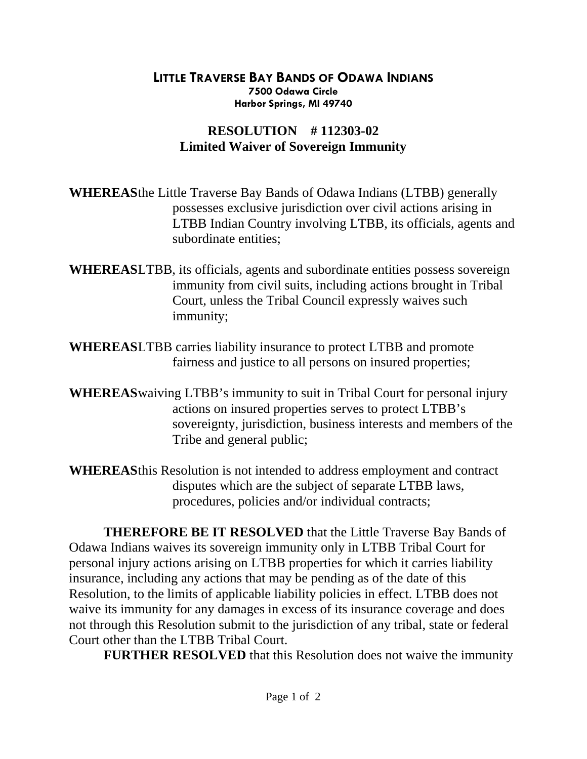## **LITTLE TRAVERSE BAY BANDS OF ODAWA INDIANS 7500 Odawa Circle Harbor Springs, MI 49740**

## **RESOLUTION # 112303-02 Limited Waiver of Sovereign Immunity**

**WHEREAS** the Little Traverse Bay Bands of Odawa Indians (LTBB) generally possesses exclusive jurisdiction over civil actions arising in LTBB Indian Country involving LTBB, its officials, agents and subordinate entities;

- **WHEREASLTBB**, its officials, agents and subordinate entities possess sovereign immunity from civil suits, including actions brought in Tribal Court, unless the Tribal Council expressly waives such immunity;
- **WHEREASLTBB** carries liability insurance to protect LTBB and promote fairness and justice to all persons on insured properties;
- **WHEREAS** waiving LTBB's immunity to suit in Tribal Court for personal injury actions on insured properties serves to protect LTBB's sovereignty, jurisdiction, business interests and members of the Tribe and general public;
- **WHEREAS** this Resolution is not intended to address employment and contract disputes which are the subject of separate LTBB laws, procedures, policies and/or individual contracts;

 **THEREFORE BE IT RESOLVED** that the Little Traverse Bay Bands of Odawa Indians waives its sovereign immunity only in LTBB Tribal Court for personal injury actions arising on LTBB properties for which it carries liability insurance, including any actions that may be pending as of the date of this Resolution, to the limits of applicable liability policies in effect. LTBB does not waive its immunity for any damages in excess of its insurance coverage and does not through this Resolution submit to the jurisdiction of any tribal, state or federal Court other than the LTBB Tribal Court.

 **FURTHER RESOLVED** that this Resolution does not waive the immunity